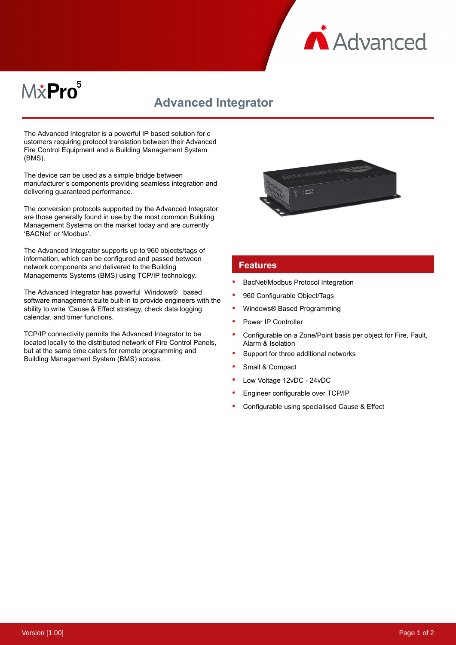

## $M\ddot{x}$ Pro $^5$

## **Advanced Integrator**

The Advanced Integrator is a powerful IP based solution for c ustomers requiring protocol translation between their Advanced Fire Control Equipment and a Building Management System (BMS).

The device can be used as a simple bridge between manufacturer's components providing seamless integration and delivering guaranteed performance.

The conversion protocols supported by the Advanced Integrator are those generally found in use by the most common Building Management Systems on the market today and are currently 'BACNet' or 'Modbus'.

The Advanced Integrator supports up to 960 objects/tags of information, which can be configured and passed between network components and delivered to the Building Managements Systems (BMS) using TCP/IP technology.

The Advanced Integrator has powerful Windows® based software management suite built-in to provide engineers with the ability to write 'Cause & Effect strategy, check data logging, calendar, and timer functions.

TCP/IP connectivity permits the Advanced Integrator to be located locally to the distributed network of Fire Control Panels, but at the same time caters for remote programming and Building Management System (BMS) access.



## **Features**

- BacNet/Modbus Protocol Integration
- 960 Configurable Object/Tags
- Windows® Based Programming
- Power IP Controller
- Configurable on a Zone/Point basis per object for Fire, Fault, Alarm & Isolation
- Support for three additional networks
- Small & Compact
- Low Voltage 12vDC 24vDC
- Engineer configurable over TCP/IP
- Configurable using specialised Cause & Effect